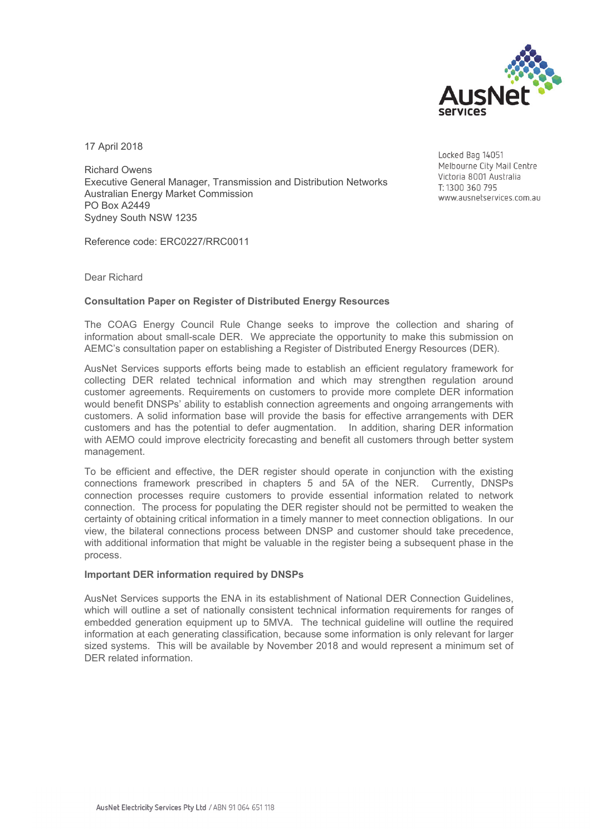

17 April 2018

Richard Owens Executive General Manager, Transmission and Distribution Networks Australian Energy Market Commission PO Box A2449 Sydney South NSW 1235

Reference code: ERC0227/RRC0011

Locked Bag 14051 Melbourne City Mail Centre Victoria 8001 Australia T: 1300 360 795 www.ausnetservices.com.au

Dear Richard

## **Consultation Paper on Register of Distributed Energy Resources**

The COAG Energy Council Rule Change seeks to improve the collection and sharing of information about small-scale DER. We appreciate the opportunity to make this submission on AEMC's consultation paper on establishing a Register of Distributed Energy Resources (DER).

AusNet Services supports efforts being made to establish an efficient regulatory framework for collecting DER related technical information and which may strengthen regulation around customer agreements. Requirements on customers to provide more complete DER information would benefit DNSPs' ability to establish connection agreements and ongoing arrangements with customers. A solid information base will provide the basis for effective arrangements with DER customers and has the potential to defer augmentation. In addition, sharing DER information with AEMO could improve electricity forecasting and benefit all customers through better system management.

To be efficient and effective, the DER register should operate in conjunction with the existing connections framework prescribed in chapters 5 and 5A of the NER. Currently, DNSPs connection processes require customers to provide essential information related to network connection. The process for populating the DER register should not be permitted to weaken the certainty of obtaining critical information in a timely manner to meet connection obligations. In our view, the bilateral connections process between DNSP and customer should take precedence, with additional information that might be valuable in the register being a subsequent phase in the process.

## **Important DER information required by DNSPs**

AusNet Services supports the ENA in its establishment of National DER Connection Guidelines, which will outline a set of nationally consistent technical information requirements for ranges of embedded generation equipment up to 5MVA. The technical guideline will outline the required information at each generating classification, because some information is only relevant for larger sized systems. This will be available by November 2018 and would represent a minimum set of DER related information.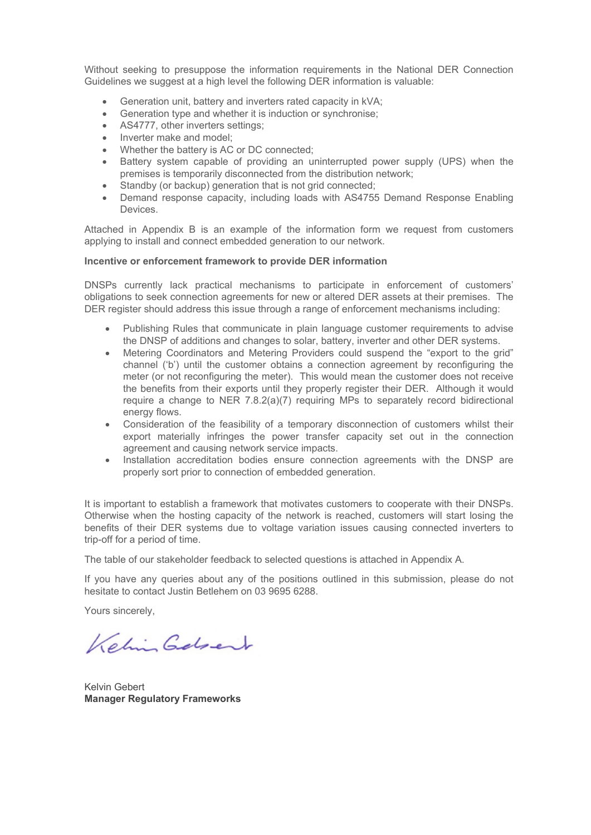Without seeking to presuppose the information requirements in the National DER Connection Guidelines we suggest at a high level the following DER information is valuable:

- Generation unit, battery and inverters rated capacity in kVA;
- Generation type and whether it is induction or synchronise;
- AS4777, other inverters settings;
- Inverter make and model:
- Whether the battery is AC or DC connected;
- Battery system capable of providing an uninterrupted power supply (UPS) when the premises is temporarily disconnected from the distribution network;
- Standby (or backup) generation that is not grid connected;
- Demand response capacity, including loads with AS4755 Demand Response Enabling Devices.

Attached in Appendix B is an example of the information form we request from customers applying to install and connect embedded generation to our network.

## **Incentive or enforcement framework to provide DER information**

DNSPs currently lack practical mechanisms to participate in enforcement of customers' obligations to seek connection agreements for new or altered DER assets at their premises. The DER register should address this issue through a range of enforcement mechanisms including:

- Publishing Rules that communicate in plain language customer requirements to advise the DNSP of additions and changes to solar, battery, inverter and other DER systems.
- Metering Coordinators and Metering Providers could suspend the "export to the grid" channel ('b') until the customer obtains a connection agreement by reconfiguring the meter (or not reconfiguring the meter). This would mean the customer does not receive the benefits from their exports until they properly register their DER. Although it would require a change to NER  $7.8.2(a)(7)$  requiring MPs to separately record bidirectional energy flows.
- Consideration of the feasibility of a temporary disconnection of customers whilst their export materially infringes the power transfer capacity set out in the connection agreement and causing network service impacts.
- Installation accreditation bodies ensure connection agreements with the DNSP are properly sort prior to connection of embedded generation.

It is important to establish a framework that motivates customers to cooperate with their DNSPs. Otherwise when the hosting capacity of the network is reached, customers will start losing the benefits of their DER systems due to voltage variation issues causing connected inverters to trip-off for a period of time.

The table of our stakeholder feedback to selected questions is attached in Appendix A.

If you have any queries about any of the positions outlined in this submission, please do not hesitate to contact Justin Betlehem on 03 9695 6288.

Yours sincerely,

Kehin Gebert

Kelvin Gebert **Manager Regulatory Frameworks**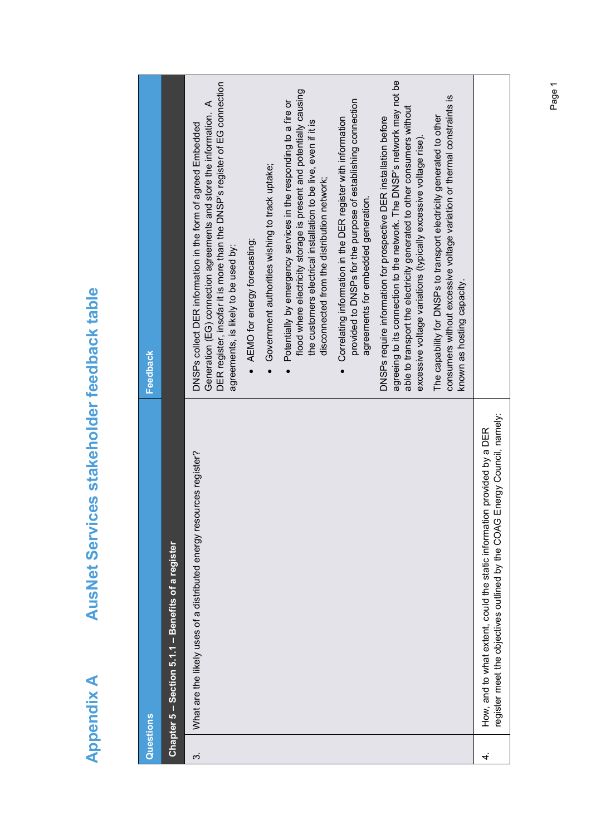| ſ      |
|--------|
| Ì<br>í |
| C<br>S |
| Ć      |
|        |
| į      |

# AusNet Services stakeholder feedback table **Appendix A AusNet Services stakeholder feedback table**

| Questions |                                                                                                                                                         | <b>Feedback</b>                                                                                                                                                                                                                                                                             |
|-----------|---------------------------------------------------------------------------------------------------------------------------------------------------------|---------------------------------------------------------------------------------------------------------------------------------------------------------------------------------------------------------------------------------------------------------------------------------------------|
|           | Chapter 5 – Section 5.1.1 – Benefits of a register                                                                                                      |                                                                                                                                                                                                                                                                                             |
| က်        | What are the likely uses of a distributed energy resources register?                                                                                    | DER register, insofar it is more than the DNSP's register of EG connection<br>Generation (EG) connection agreements and store the information. A<br>DNSPs collect DER information in the form of agreed Embedded<br>AEMO for energy forecasting;<br>agreements, is likely to be used by:    |
|           |                                                                                                                                                         | Government authorities wishing to track uptake;                                                                                                                                                                                                                                             |
|           |                                                                                                                                                         | flood where electricity storage is present and potentially causing<br>Potentially by emergency services in the responding to a fire or<br>the customers electrical installation to be live, even if it is<br>disconnected from the distribution network;                                    |
|           |                                                                                                                                                         | provided to DNSPs for the purpose of establishing connection<br>Correlating information in the DER register with information<br>agreements for embedded generation.                                                                                                                         |
|           |                                                                                                                                                         | agreeing to its connection to the network. The DNSP's network may not be<br>able to transport the electricity generated to other consumers without<br>DNSPs require information for prospective DER installation before<br>excessive voltage variations (typically excessive voltage rise). |
|           |                                                                                                                                                         | consumers without excessive voltage variation or thermal constraints is<br>The capability for DNSPs to transport electricity generated to other<br>known as hosting capacity.                                                                                                               |
| 4.        | Energy Council, namely:<br>How, and to what extent, could the static information provided by a DER<br>register meet the objectives outlined by the COAG |                                                                                                                                                                                                                                                                                             |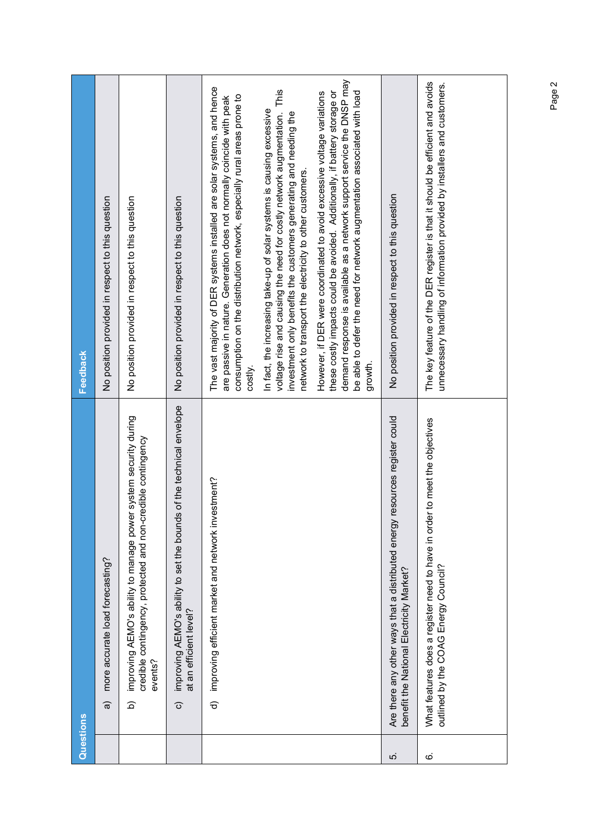|      | Questions                                                                                                                                              | <b>Feedback</b>                                                                                                                                                                                                                                                                                                      |
|------|--------------------------------------------------------------------------------------------------------------------------------------------------------|----------------------------------------------------------------------------------------------------------------------------------------------------------------------------------------------------------------------------------------------------------------------------------------------------------------------|
|      | more accurate load forecasting?<br>a                                                                                                                   | No position provided in respect to this question                                                                                                                                                                                                                                                                     |
|      | improving AEMO's ability to manage power system security during<br>credible contingency, protected and non-credible contingency<br>events?<br><u>ය</u> | No position provided in respect to this question                                                                                                                                                                                                                                                                     |
|      | s of the technical envelope<br>improving AEMO's ability to set the bound<br>at an efficient level?<br>$\widehat{\circ}$                                | No position provided in respect to this question                                                                                                                                                                                                                                                                     |
|      | estment?<br>d) improving efficient market and network inv                                                                                              | The vast majority of DER systems installed are solar systems, and hence<br>consumption on the distribution network, especially rural areas prone to<br>are passive in nature. Generation does not normally coincide with peak<br>costly                                                                              |
|      |                                                                                                                                                        | voltage rise and causing the need for costly network augmentation. This<br>In fact, the increasing take-up of solar systems is causing excessive<br>investment only benefits the customers generating and needing the<br>network to transport the electricity to other customers.                                    |
|      |                                                                                                                                                        | demand response is available as a network support service the DNSP may<br>these costly impacts could be avoided. Additionally, if battery storage or<br>be able to defer the need for network augmentation associated with load<br>However, if DER were coordinated to avoid excessive voltage variations<br>growth. |
| ່ເດ່ | resources register could<br>Are there any other ways that a distributed energy<br>benefit the National Electricity Market?                             | No position provided in respect to this question                                                                                                                                                                                                                                                                     |
| 6    | What features does a register need to have in order to meet the objectives<br>outlined by the COAG Energy Council?                                     | The key feature of the DER register is that it should be efficient and avoids<br>unnecessary handling of information provided by installers and customers.                                                                                                                                                           |
|      |                                                                                                                                                        |                                                                                                                                                                                                                                                                                                                      |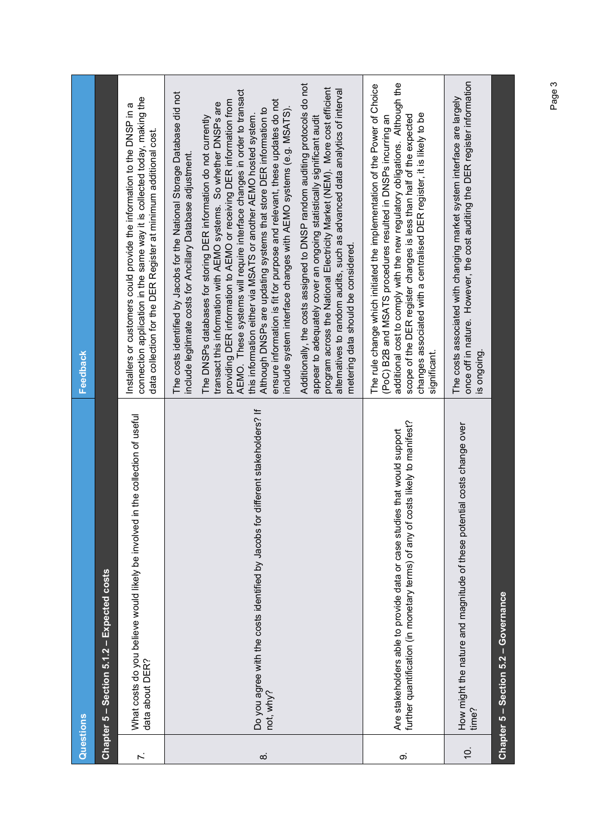|                  | Questions                                                                                                                                                  | <b>Feedback</b>                                                                                                                                                                                                                                                                                                                                                                                                                                                                                                                                                                                                                                                                                                             |
|------------------|------------------------------------------------------------------------------------------------------------------------------------------------------------|-----------------------------------------------------------------------------------------------------------------------------------------------------------------------------------------------------------------------------------------------------------------------------------------------------------------------------------------------------------------------------------------------------------------------------------------------------------------------------------------------------------------------------------------------------------------------------------------------------------------------------------------------------------------------------------------------------------------------------|
|                  | Chapter 5 - Section 5.1.2 - Expected costs                                                                                                                 |                                                                                                                                                                                                                                                                                                                                                                                                                                                                                                                                                                                                                                                                                                                             |
|                  | in the collection of useful<br>What costs do you believe would likely be involved<br>data about DER?                                                       | connection application in the same way it is collected today, making the<br>Installers or customers could provide the information to the DNSP in a<br>data collection for the DER Register at minimum additional cost.                                                                                                                                                                                                                                                                                                                                                                                                                                                                                                      |
| $\dot{\infty}$   | Do you agree with the costs identified by Jacobs for different stakeholders? If<br>not, why?                                                               | AEMO. These systems will require interface changes in order to transact<br>The costs identified by Jacobs for the National Storage Database did not<br>providing DER information to AEMO or receiving DER information from<br>ensure information is fit for purpose and relevant, these updates do not<br>transact this information with AEMO systems. So whether DNSPs are<br>include system interface changes with AEMO systems (e.g. MSATS).<br>Although DNSPs are updating systems that store DER information to<br>this information either via MSATS or another AEMO hosted system.<br>The DNSPs databases for storing DER information do not currently<br>include legitimate costs for Ancillary Database adjustment. |
|                  |                                                                                                                                                            | Additionally, the costs assigned to DNSP random auditing protocols do not<br>program across the National Electricity Market (NEM). More cost efficient<br>alternatives to random audits, such as advanced data analytics of interval<br>appear to adequately cover an ongoing statistically significant audit<br>metering data should be considered.                                                                                                                                                                                                                                                                                                                                                                        |
| တ                | further quantification (in monetary terms) of any of costs likely to manifest?<br>Are stakeholders able to provide data or case studies that would support | additional cost to comply with the new regulatory obligations. Although the<br>The rule change which initiated the implementation of the Power of Choice<br>changes associated with a centralised DER register, it is likely to be<br>scope of the DER register changes is less than half of the expected<br>(PoC) B2B and MSATS procedures resulted in DNSPs incurring an<br>significant.                                                                                                                                                                                                                                                                                                                                  |
| $\overline{0}$ . | How might the nature and magnitude of these potential costs change over<br>time?                                                                           | once off in nature. However, the cost auditing the DER register information<br>The costs associated with changing market system interface are largely<br>is ongoing                                                                                                                                                                                                                                                                                                                                                                                                                                                                                                                                                         |
|                  | Chapter 5 - Section 5.2 - Governance                                                                                                                       |                                                                                                                                                                                                                                                                                                                                                                                                                                                                                                                                                                                                                                                                                                                             |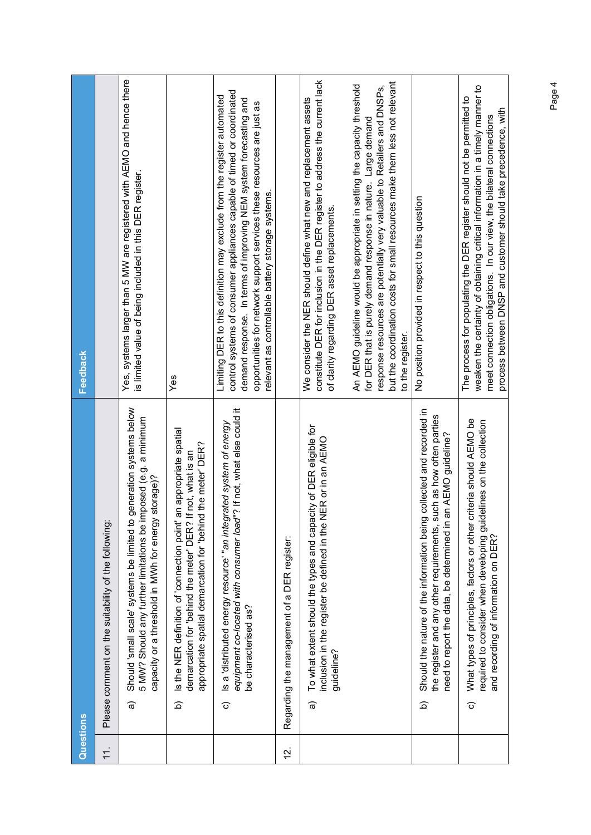| Questions        |                                                     |                                                                                                                                                                                                                  | <b>Feedback</b>                                                                                                                                                                                                                                                                                                                                       |
|------------------|-----------------------------------------------------|------------------------------------------------------------------------------------------------------------------------------------------------------------------------------------------------------------------|-------------------------------------------------------------------------------------------------------------------------------------------------------------------------------------------------------------------------------------------------------------------------------------------------------------------------------------------------------|
| $\overline{1}$ . | Please comment on the suitability of the following: |                                                                                                                                                                                                                  |                                                                                                                                                                                                                                                                                                                                                       |
|                  | କ                                                   | Should 'small scale' systems be limited to generation systems below<br>imposed (e.g. a minimum<br>capacity or a threshold in MVh for energy storage)?<br>5 MW? Should any further limitations be                 | Yes, systems larger than 5 MW are registered with AEMO and hence there<br>is limited value of being included in this DER register.                                                                                                                                                                                                                    |
|                  | $\widehat{\mathbf{d}}$                              | an appropriate spatial<br>d the meter' DER?<br>If not, what is an<br>Is the NER definition of 'connection point'<br>demarcation for 'behind the meter' DER?<br>appropriate spatial demarcation for 'behin        | Yes                                                                                                                                                                                                                                                                                                                                                   |
|                  | be characterised as?<br>$\widehat{\circ}$           | equipment co-located with consumer load"? If not, what else could it<br>Is a 'distributed energy resource' "an integrated system of energy                                                                       | control systems of consumer appliances capable of timed or coordinated<br>Limiting DER to this definition may exclude from the register automated<br>demand response. In terms of improving NEM system forecasting and<br>opportunities for network support services these resources are just as<br>relevant as controllable battery storage systems. |
| <u>ja</u>        | Regarding the management of a DER register:         |                                                                                                                                                                                                                  |                                                                                                                                                                                                                                                                                                                                                       |
|                  | guideline?<br>କ                                     | To what extent should the types and capacity of DER eligible for<br>NER or in an AEMO<br>inclusion in the register be defined in the                                                                             | constitute DER for inclusion in the DER register to address the current lack<br>We consider the NER should define what new and replacement assets<br>of clarity regarding DER asset replacements                                                                                                                                                      |
|                  |                                                     |                                                                                                                                                                                                                  | but the coordination costs for small resources make them less not relevant<br>An AEMO guideline would be appropriate in setting the capacity threshold<br>response resources are potentially very valuable to Retailers and DNSPs,<br>for DER that is purely demand response in nature. Large demand<br>to the register                               |
|                  | <u>ය</u>                                            | Should the nature of the information being collected and recorded in<br>such as how often parties<br>an AEMO guideline?<br>need to report the data, be determined in<br>the register and any other requirements, | No position provided in respect to this question                                                                                                                                                                                                                                                                                                      |
|                  | ි                                                   | criteria should AEMO be<br>required to consider when developing guidelines on the collection<br>What types of principles, factors or other<br>and recording of information on DER?                               | weaken the certainty of obtaining critical information in a timely manner to<br>The process for populating the DER register should not be permitted to<br>process between DNSP and customer should take precedence, with<br>meet connection obligations. In our view, the bilateral connections                                                       |
|                  |                                                     |                                                                                                                                                                                                                  |                                                                                                                                                                                                                                                                                                                                                       |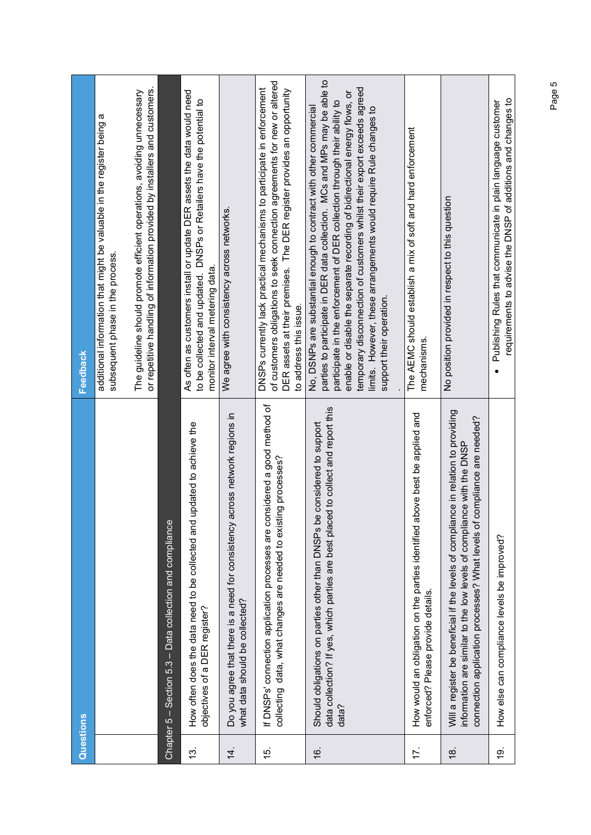| Questions        |                                                                                                                                                                                                                                           | Feedback                                                                                                                                                                                                                                                                                                                                                                                                                                                                               |
|------------------|-------------------------------------------------------------------------------------------------------------------------------------------------------------------------------------------------------------------------------------------|----------------------------------------------------------------------------------------------------------------------------------------------------------------------------------------------------------------------------------------------------------------------------------------------------------------------------------------------------------------------------------------------------------------------------------------------------------------------------------------|
|                  |                                                                                                                                                                                                                                           | additional information that might be valuable in the register being a<br>subsequent phase in the process.                                                                                                                                                                                                                                                                                                                                                                              |
|                  |                                                                                                                                                                                                                                           | or repetitive handling of information provided by installers and customers.<br>The guideline should promote efficient operations, avoiding unnecessary                                                                                                                                                                                                                                                                                                                                 |
| Chapter $5 -$    | Section 5.3 – Data collection and compliance                                                                                                                                                                                              |                                                                                                                                                                                                                                                                                                                                                                                                                                                                                        |
| $\frac{3}{3}$    | updated to achieve the<br>How often does the data need to be collected and<br>objectives of a DER register?                                                                                                                               | As often as customers install or update DER assets the data would need<br>to be collected and updated. DNSPs or Retailers have the potential to<br>monitor interval metering data.                                                                                                                                                                                                                                                                                                     |
| $\overline{4}$ . | across network regions in<br>Do you agree that there is a need for consistency<br>what data should be collected?                                                                                                                          | We agree with consistency across networks.                                                                                                                                                                                                                                                                                                                                                                                                                                             |
| 15.              | If DNSPs' connection application processes are considered a good method of<br>collecting data, what changes are needed to existing processes?                                                                                             | of customers obligations to seek connection agreements for new or altered<br>DNSPs currently lack practical mechanisms to participate in enforcement<br>DER assets at their premises. The DER register provides an opportunity<br>to address this issue.                                                                                                                                                                                                                               |
| 16.              | data collection? If yes, which parties are best placed to collect and report this<br>Should obligations on parties other than DNSPs be considered to support<br>data?                                                                     | parties to participate in DER data collection. MCs and MPs may be able to<br>temporary disconnection of customers whilst their export exceeds agreed<br>enable or disable the separate recording of bidirectional energy flows, or<br>participate in the enforcement of DER collection through their ability to<br>No, DSNPs are substantial enough to contract with other commercial<br>limits. However, these arrangements would require Rule changes to<br>support their operation. |
| 17.              | How would an obligation on the parties identified above best be applied and<br>enforced? Please provide details.                                                                                                                          | The AEMC should establish a mix of soft and hard enforcement<br>mechanisms.                                                                                                                                                                                                                                                                                                                                                                                                            |
| $\frac{8}{3}$    | Will a register be beneficial if the levels of compliance in relation to providing<br>compliance are needed?<br>information are similar to the low levels of compliance with the DNSP<br>connection application processes? What levels of | No position provided in respect to this question                                                                                                                                                                                                                                                                                                                                                                                                                                       |
| <u>(6)</u>       | How else can compliance levels be improved?                                                                                                                                                                                               | requirements to advise the DNSP of additions and changes to<br>Publishing Rules that communicate in plain language customer                                                                                                                                                                                                                                                                                                                                                            |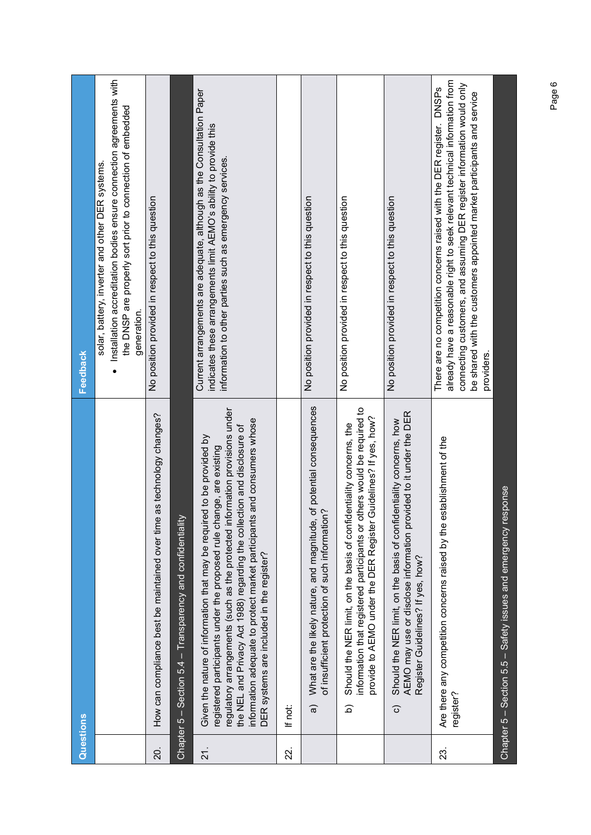| Questions       |                                                                                                                                                                                                                                                                                                                                                                                                                                   | <b>Feedback</b>                                                                                                                                                                                                                                                                                                        |
|-----------------|-----------------------------------------------------------------------------------------------------------------------------------------------------------------------------------------------------------------------------------------------------------------------------------------------------------------------------------------------------------------------------------------------------------------------------------|------------------------------------------------------------------------------------------------------------------------------------------------------------------------------------------------------------------------------------------------------------------------------------------------------------------------|
|                 |                                                                                                                                                                                                                                                                                                                                                                                                                                   | Installation accreditation bodies ensure connection agreements with<br>the DNSP are properly sort prior to connection of embedded<br>solar, battery, inverter and other DER systems.<br>generation.                                                                                                                    |
| 20.             | as technology changes?<br>How can compliance best be maintained over time                                                                                                                                                                                                                                                                                                                                                         | No position provided in respect to this question                                                                                                                                                                                                                                                                       |
|                 | Chapter 5 – Section 5.4 – Transparency and confidentiality                                                                                                                                                                                                                                                                                                                                                                        |                                                                                                                                                                                                                                                                                                                        |
| $\overline{21}$ | regulatory arrangements (such as the protected information provisions under<br>information adequate to protect market participants and consumers whose<br>the NEL and Privacy Act 1988) regarding the collection and disclosure of<br>Given the nature of information that may be required to be provided by<br>registered participants under the proposed rule change, are existing<br>DER systems are included in the register? | Current arrangements are adequate, although as the Consultation Paper<br>indicates these arrangements limit AEMO's ability to provide this<br>information to other parties such as emergency services.                                                                                                                 |
| 22.             | If not:                                                                                                                                                                                                                                                                                                                                                                                                                           |                                                                                                                                                                                                                                                                                                                        |
|                 | of potential consequences<br>of insufficient protection of such information?<br>What are the likely nature, and magnitude,<br>$\widehat{\mathfrak{a}}$                                                                                                                                                                                                                                                                            | No position provided in respect to this question                                                                                                                                                                                                                                                                       |
|                 | information that registered participants or others would be required to<br>Guidelines? If yes, how?<br>Should the NER limit, on the basis of confidentiality concerns, the<br>provide to AEMO under the DER Register<br><u>ର</u>                                                                                                                                                                                                  | No position provided in respect to this question                                                                                                                                                                                                                                                                       |
|                 | AEMO may use or disclose information provided to it under the DER<br>Should the NER limit, on the basis of confidentiality concerns, how<br>Register Guidelines? If yes, how?<br>ි                                                                                                                                                                                                                                                | No position provided in respect to this question                                                                                                                                                                                                                                                                       |
| 23.             | establishment of the<br>Are there any competition concerns raised by the $\epsilon$<br>register?                                                                                                                                                                                                                                                                                                                                  | already have a reasonable right to seek relevant technical information from<br>connecting customers, and assuming DER register information would only<br>There are no competition concerns raised with the DER register. DNSPs<br>be shared with the customers appointed market participants and service<br>providers. |
|                 | Chapter 5 - Section 5.5 - Safety issues and emergency response                                                                                                                                                                                                                                                                                                                                                                    |                                                                                                                                                                                                                                                                                                                        |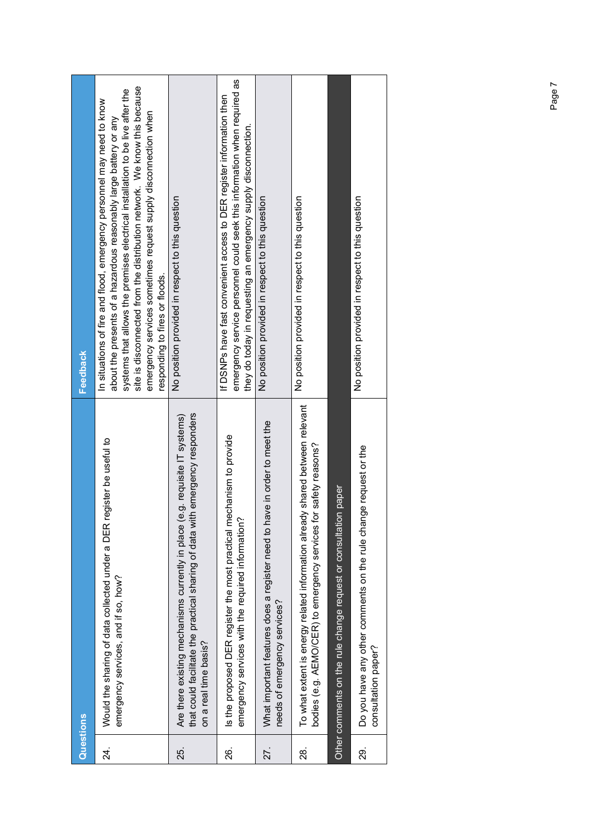| Questions |                                                                                                                                                                                           | <b>Feedback</b>                                                                                                                                                                                                                                                                                                                                                                                             |
|-----------|-------------------------------------------------------------------------------------------------------------------------------------------------------------------------------------------|-------------------------------------------------------------------------------------------------------------------------------------------------------------------------------------------------------------------------------------------------------------------------------------------------------------------------------------------------------------------------------------------------------------|
| 24.       | register be useful to<br>Would the sharing of data collected under a DER<br>emergency services, and if so, how?                                                                           | site is disconnected from the distribution network. We know this because<br>systems that allows the premises electrical installation to be live after the<br>In situations of fire and flood, emergency personnel may need to know<br>emergency services sometimes request supply disconnection when<br>about the presents of a hazardous reasonably large battery or any<br>responding to fires or floods. |
| 25.       | that could facilitate the practical sharing of data with emergency responders<br>(e.g. requisite IT systems)<br>Are there existing mechanisms currently in place<br>on a real time basis? | No position provided in respect to this question                                                                                                                                                                                                                                                                                                                                                            |
| 26.       | Is the proposed DER register the most practical mechanism to provide<br>emergency services with the required information?                                                                 | emergency service personnel could seek this information when required as<br>If DSNPs have fast convenient access to DER register information then<br>they do today in requesting an emergency supply disconnection.                                                                                                                                                                                         |
| 27.       | What important features does a register need to have in order to meet the<br>needs of emergency services?                                                                                 | No position provided in respect to this question                                                                                                                                                                                                                                                                                                                                                            |
| <u>ನ</u>  | To what extent is energy related information already shared between relevant<br>for safety reasons?<br>bodies (e.g. AEMO/CER) to emergency services                                       | No position provided in respect to this question                                                                                                                                                                                                                                                                                                                                                            |
|           | Other comments on the rule change request or consultation paper                                                                                                                           |                                                                                                                                                                                                                                                                                                                                                                                                             |
| စ္လ       | Do you have any other comments on the rule change request or the<br>consultation paper?                                                                                                   | No position provided in respect to this question                                                                                                                                                                                                                                                                                                                                                            |